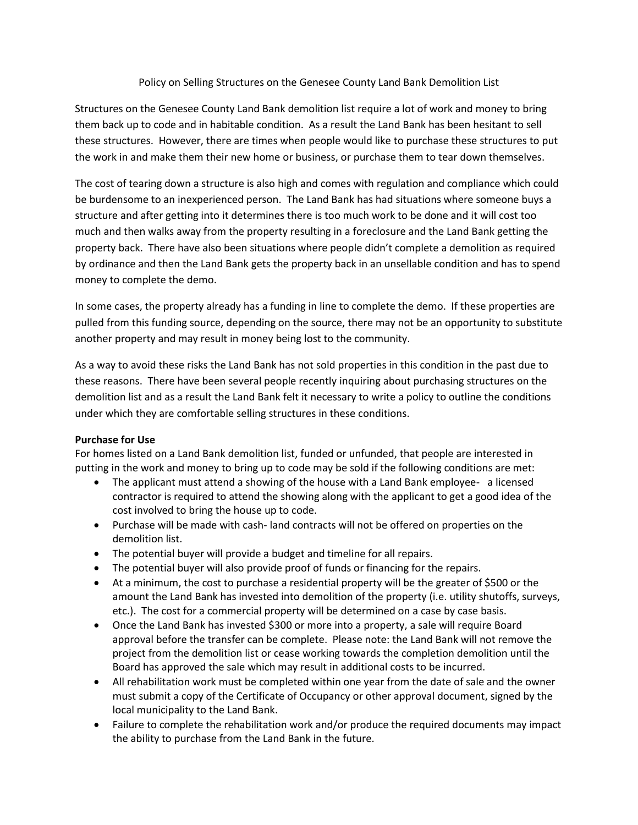## Policy on Selling Structures on the Genesee County Land Bank Demolition List

Structures on the Genesee County Land Bank demolition list require a lot of work and money to bring them back up to code and in habitable condition. As a result the Land Bank has been hesitant to sell these structures. However, there are times when people would like to purchase these structures to put the work in and make them their new home or business, or purchase them to tear down themselves.

The cost of tearing down a structure is also high and comes with regulation and compliance which could be burdensome to an inexperienced person. The Land Bank has had situations where someone buys a structure and after getting into it determines there is too much work to be done and it will cost too much and then walks away from the property resulting in a foreclosure and the Land Bank getting the property back. There have also been situations where people didn't complete a demolition as required by ordinance and then the Land Bank gets the property back in an unsellable condition and has to spend money to complete the demo.

In some cases, the property already has a funding in line to complete the demo. If these properties are pulled from this funding source, depending on the source, there may not be an opportunity to substitute another property and may result in money being lost to the community.

As a way to avoid these risks the Land Bank has not sold properties in this condition in the past due to these reasons. There have been several people recently inquiring about purchasing structures on the demolition list and as a result the Land Bank felt it necessary to write a policy to outline the conditions under which they are comfortable selling structures in these conditions.

## **Purchase for Use**

For homes listed on a Land Bank demolition list, funded or unfunded, that people are interested in putting in the work and money to bring up to code may be sold if the following conditions are met:

- The applicant must attend a showing of the house with a Land Bank employee- a licensed contractor is required to attend the showing along with the applicant to get a good idea of the cost involved to bring the house up to code.
- Purchase will be made with cash- land contracts will not be offered on properties on the demolition list.
- The potential buyer will provide a budget and timeline for all repairs.
- The potential buyer will also provide proof of funds or financing for the repairs.
- At a minimum, the cost to purchase a residential property will be the greater of \$500 or the amount the Land Bank has invested into demolition of the property (i.e. utility shutoffs, surveys, etc.). The cost for a commercial property will be determined on a case by case basis.
- Once the Land Bank has invested \$300 or more into a property, a sale will require Board approval before the transfer can be complete. Please note: the Land Bank will not remove the project from the demolition list or cease working towards the completion demolition until the Board has approved the sale which may result in additional costs to be incurred.
- All rehabilitation work must be completed within one year from the date of sale and the owner must submit a copy of the Certificate of Occupancy or other approval document, signed by the local municipality to the Land Bank.
- Failure to complete the rehabilitation work and/or produce the required documents may impact the ability to purchase from the Land Bank in the future.